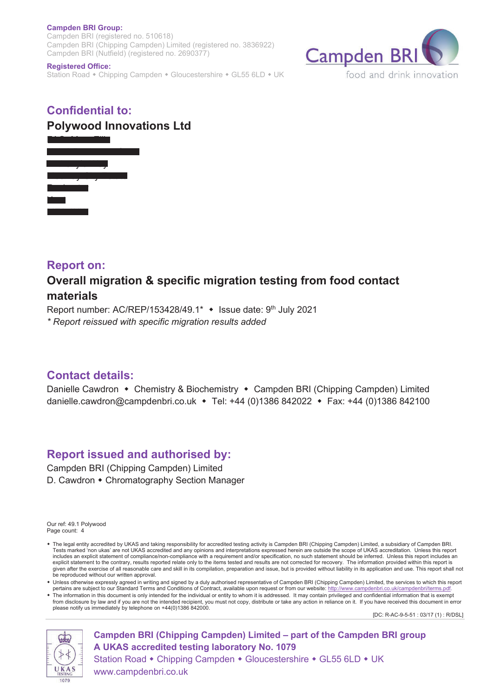#### **Campden BRI Group:**

Campden BRI (registered no. 510618) Campden BRI (Chipping Campden) Limited (registered no. 3836922) Campden BRI (Nutfield) (registered no. 2690377)

#### **Registered Office:**

Station Road • Chipping Campden • Gloucestershire • GL55 6LD • UK



## **Confidential to: Polywood Innovations Ltd**



### **Report on:**

# **Overall migration & specific migration testing from food contact materials**

Report number: AC/REP/153428/49.1\*  $\cdot$  Issue date: 9<sup>th</sup> July 2021 *\* Report reissued with specific migration results added*

## **Contact details:**

Danielle Cawdron • Chemistry & Biochemistry • Campden BRI (Chipping Campden) Limited danielle.cawdron@campdenbri.co.uk • Tel: +44 (0)1386 842022 • Fax: +44 (0)1386 842100

# **Report issued and authorised by:**

Campden BRI (Chipping Campden) Limited D. Cawdron • Chromatography Section Manager

Our ref: 49.1 Polywood Page count: 4

- w The legal entity accredited by UKAS and taking responsibility for accredited testing activity is Campden BRI (Chipping Campden) Limited, a subsidiary of Campden BRI. Tests marked 'non ukas' are not UKAS accredited and any opinions and interpretations expressed herein are outside the scope of UKAS accreditation. Unless this report includes an explicit statement of compliance/non-compliance with a requirement and/or specification, no such statement should be inferred. Unless this report includes an<br>explicit statement to the contrary, results reporte given after the exercise of all reasonable care and skill in its compilation, preparation and issue, but is provided without liability in its application and use. This report shall not be reproduced without our written approval.
- Unless otherwise expressly agreed in writing and signed by a duly authorised representative of Campden BRI (Chipping Campden) Limited, the services to which this report pertains are subject to our Standard Terms and Condit
- w The information in this document is only intended for the individual or entity to whom it is addressed. It may contain privileged and confidential information that is exempt from disclosure by law and if you are not the intended recipient, you must not copy, distribute or take any action in reliance on it. If you have received this document in error please notify us immediately by telephone on +44(0)1386 842000.

[DC: R-AC-9-5-51 : 03/17 (1) : R/DSL]



**Campden BRI (Chipping Campden) Limited – part of the Campden BRI group A UKAS accredited testing laboratory No. 1079** Station Road • Chipping Campden • Gloucestershire • GL55 6LD • UK

www.campdenbri.co.uk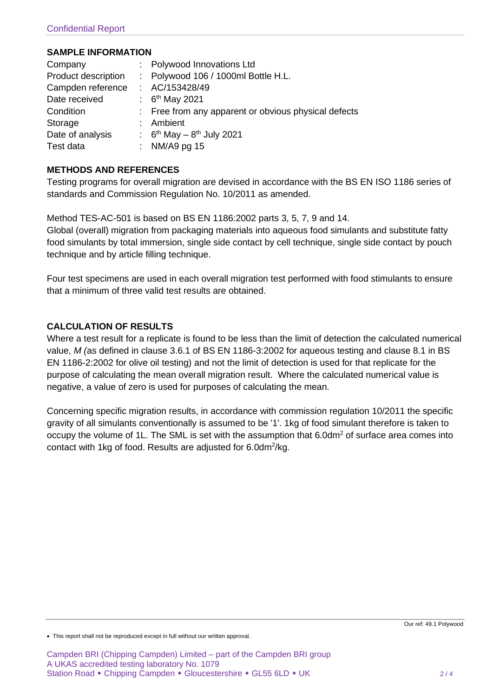#### **SAMPLE INFORMATION**

| Company             | : Polywood Innovations Ltd                           |
|---------------------|------------------------------------------------------|
| Product description | : Polywood 106 / 1000ml Bottle H.L.                  |
| Campden reference   | : AC/153428/49                                       |
| Date received       | : $6^{th}$ May 2021                                  |
| Condition           | : Free from any apparent or obvious physical defects |
| Storage             | : Ambient                                            |
| Date of analysis    | : $6^{th}$ May – $8^{th}$ July 2021                  |
| Test data           | : NM/A9 pg $15$                                      |

### **METHODS AND REFERENCES**

Testing programs for overall migration are devised in accordance with the BS EN ISO 1186 series of standards and Commission Regulation No. 10/2011 as amended.

Method TES-AC-501 is based on BS EN 1186:2002 parts 3, 5, 7, 9 and 14. Global (overall) migration from packaging materials into aqueous food simulants and substitute fatty food simulants by total immersion, single side contact by cell technique, single side contact by pouch technique and by article filling technique.

Four test specimens are used in each overall migration test performed with food stimulants to ensure that a minimum of three valid test results are obtained.

### **CALCULATION OF RESULTS**

Where a test result for a replicate is found to be less than the limit of detection the calculated numerical value, *M (*as defined in clause 3.6.1 of BS EN 1186-3:2002 for aqueous testing and clause 8.1 in BS EN 1186-2:2002 for olive oil testing) and not the limit of detection is used for that replicate for the purpose of calculating the mean overall migration result. Where the calculated numerical value is negative, a value of zero is used for purposes of calculating the mean.

Concerning specific migration results, in accordance with commission regulation 10/2011 the specific gravity of all simulants conventionally is assumed to be '1'. 1kg of food simulant therefore is taken to occupy the volume of 1L. The SML is set with the assumption that 6.0dm<sup>2</sup> of surface area comes into contact with 1kg of food. Results are adjusted for 6.0dm<sup>2</sup>/kg.

<sup>•</sup> This report shall not be reproduced except in full without our written approval.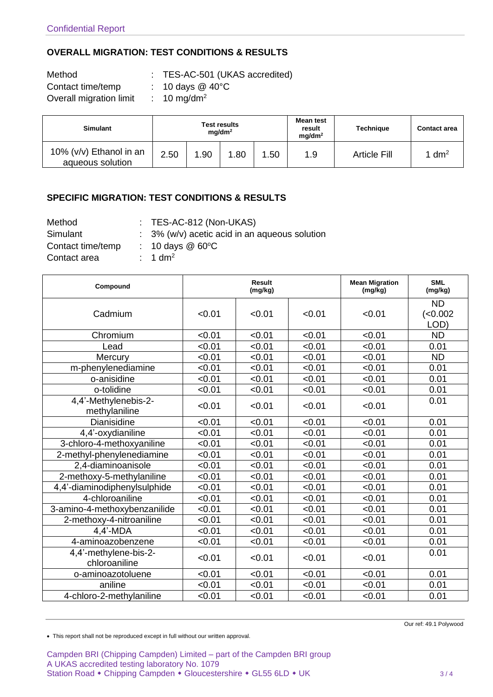### **OVERALL MIGRATION: TEST CONDITIONS & RESULTS**

| Method                  | : TES-AC-501 (UKAS accredited)        |
|-------------------------|---------------------------------------|
| Contact time/temp       | $\therefore$ 10 days @ 40 $\degree$ C |
| Overall migration limit | $\therefore$ 10 mg/dm <sup>2</sup>    |

| <b>Simulant</b>                             | <b>Test results</b><br>mq/dm <sup>2</sup> |      |      |     | Mean test<br>result<br>mq/dm <sup>2</sup> | <b>Technique</b>    | <b>Contact area</b> |
|---------------------------------------------|-------------------------------------------|------|------|-----|-------------------------------------------|---------------------|---------------------|
| 10% (v/v) Ethanol in an<br>aqueous solution | 2.50                                      | 1.90 | 1.80 | .50 | 1.9                                       | <b>Article Fill</b> | 1 dm <sup>2</sup>   |

### **SPECIFIC MIGRATION: TEST CONDITIONS & RESULTS**

| Method            |
|-------------------|
| Simulant          |
| Contact time/temp |
| Contact over      |

Method : TES-AC-812 (Non-UKAS)

 $\colon$  3% (w/v) acetic acid in an aqueous solution

 $: 10 \text{ days} \ @ 60^{\circ}\text{C}$ 

Contact area : 1 dm<sup>2</sup>

| Compound                               |        | <b>Result</b><br>(mg/kg) |        | <b>Mean Migration</b><br>(mg/kg) | <b>SML</b><br>(mg/kg)        |
|----------------------------------------|--------|--------------------------|--------|----------------------------------|------------------------------|
| Cadmium                                | < 0.01 | < 0.01                   | < 0.01 | < 0.01                           | <b>ND</b><br>(<0.002<br>LOD) |
| Chromium                               | < 0.01 | < 0.01                   | < 0.01 | < 0.01                           | <b>ND</b>                    |
| Lead                                   | < 0.01 | < 0.01                   | < 0.01 | < 0.01                           | 0.01                         |
| Mercury                                | < 0.01 | < 0.01                   | < 0.01 | < 0.01                           | <b>ND</b>                    |
| m-phenylenediamine                     | < 0.01 | < 0.01                   | < 0.01 | < 0.01                           | 0.01                         |
| o-anisidine                            | < 0.01 | < 0.01                   | < 0.01 | < 0.01                           | 0.01                         |
| o-tolidine                             | < 0.01 | < 0.01                   | < 0.01 | < 0.01                           | 0.01                         |
| 4,4'-Methylenebis-2-<br>methylaniline  | < 0.01 | < 0.01                   | < 0.01 | < 0.01                           | 0.01                         |
| <b>Dianisidine</b>                     | < 0.01 | < 0.01                   | < 0.01 | < 0.01                           | 0.01                         |
| 4,4'-oxydianiline                      | < 0.01 | < 0.01                   | < 0.01 | < 0.01                           | 0.01                         |
| 3-chloro-4-methoxyaniline              | < 0.01 | < 0.01                   | < 0.01 | < 0.01                           | 0.01                         |
| 2-methyl-phenylenediamine              | < 0.01 | < 0.01                   | < 0.01 | < 0.01                           | 0.01                         |
| 2,4-diaminoanisole                     | < 0.01 | < 0.01                   | < 0.01 | < 0.01                           | 0.01                         |
| 2-methoxy-5-methylaniline              | < 0.01 | < 0.01                   | < 0.01 | < 0.01                           | 0.01                         |
| 4,4'-diaminodiphenylsulphide           | < 0.01 | < 0.01                   | < 0.01 | < 0.01                           | 0.01                         |
| 4-chloroaniline                        | < 0.01 | < 0.01                   | < 0.01 | < 0.01                           | 0.01                         |
| 3-amino-4-methoxybenzanilide           | < 0.01 | < 0.01                   | < 0.01 | < 0.01                           | 0.01                         |
| 2-methoxy-4-nitroaniline               | < 0.01 | < 0.01                   | < 0.01 | < 0.01                           | 0.01                         |
| $4,4'$ -MDA                            | < 0.01 | < 0.01                   | < 0.01 | < 0.01                           | 0.01                         |
| 4-aminoazobenzene                      | < 0.01 | < 0.01                   | < 0.01 | < 0.01                           | 0.01                         |
| 4,4'-methylene-bis-2-<br>chloroaniline | < 0.01 | < 0.01                   | < 0.01 | < 0.01                           | 0.01                         |
| o-aminoazotoluene                      | < 0.01 | < 0.01                   | < 0.01 | < 0.01                           | 0.01                         |
| aniline                                | < 0.01 | < 0.01                   | < 0.01 | < 0.01                           | 0.01                         |
| 4-chloro-2-methylaniline               | < 0.01 | < 0.01                   | < 0.01 | < 0.01                           | 0.01                         |

• This report shall not be reproduced except in full without our written approval.

Campden BRI (Chipping Campden) Limited – part of the Campden BRI group A UKAS accredited testing laboratory No. 1079 Station Road • Chipping Campden • Gloucestershire • GL55 6LD • UK 3/4

Our ref: 49.1 Polywood